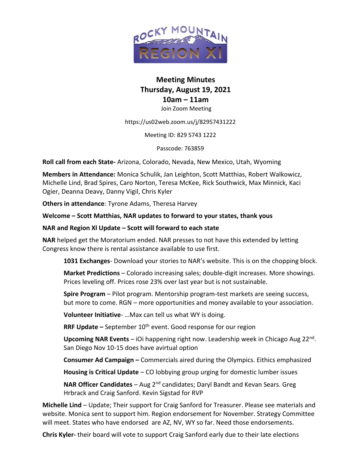

# **Meeting Minutes Thursday, August 19, 2021 10am – 11am** Join Zoom Meeting

https://us02web.zoom.us/j/82957431222

Meeting ID: 829 5743 1222

Passcode: 763859

**Roll call from each State-** Arizona, Colorado, Nevada, New Mexico, Utah, Wyoming

**Members in Attendance:** Monica Schulik, Jan Leighton, Scott Matthias, Robert Walkowicz, Michelle Lind, Brad Spires, Caro Norton, Teresa McKee, Rick Southwick, Max Minnick, Kaci Ogier, Deanna Deavy, Danny Vigil, Chris Kyler

**Others in attendance**: Tyrone Adams, Theresa Harvey

**Welcome – Scott Matthias, NAR updates to forward to your states, thank yous**

#### **NAR and Region Xl Update – Scott will forward to each state**

**NAR** helped get the Moratorium ended. NAR presses to not have this extended by letting Congress know there is rental assistance available to use first.

**1031 Exchanges**- Download your stories to NAR's website. This is on the chopping block.

**Market Predictions** – Colorado increasing sales; double-digit increases. More showings. Prices leveling off. Prices rose 23% over last year but is not sustainable.

**Spire Program** – Pilot program. Mentorship program-test markets are seeing success, but more to come. RGN – more opportunities and money available to your association.

**Volunteer Initiative**- …Max can tell us what WY is doing.

**RRF Update** – September 10<sup>th</sup> event. Good response for our region

Upcoming NAR Events - iOi happening right now. Leadership week in Chicago Aug 22<sup>nd</sup>. San Diego Nov 10-15 does have avirtual option

**Consumer Ad Campaign –** Commercials aired during the Olympics. Eithics emphasized

**Housing is Critical Update** – CO lobbying group urging for domestic lumber issues

**NAR Officer Candidates** – Aug 2<sup>nd</sup> candidates; Daryl Bandt and Kevan Sears. Greg Hrbrack and Craig Sanford. Kevin Sigstad for RVP

**Michelle Lind** – Update; Their support for Craig Sanford for Treasurer. Please see materials and website. Monica sent to support him. Region endorsement for November. Strategy Committee will meet. States who have endorsed are AZ, NV, WY so far. Need those endorsements.

**Chris Kyler-** their board will vote to support Craig Sanford early due to their late elections